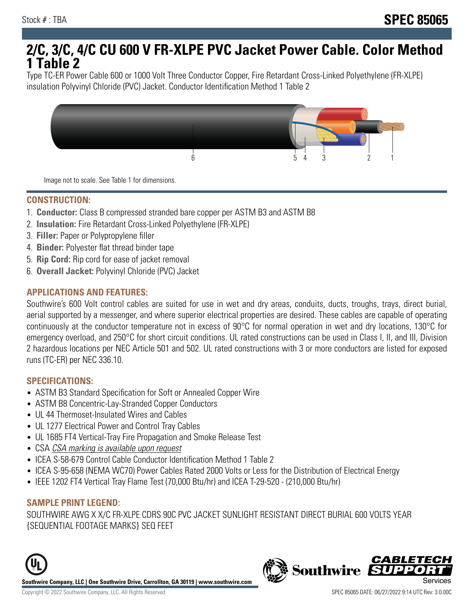# **2/C, 3/C, 4/C CU 600 V FR-XLPE PVC Jacket Power Cable. Color Method 1 Table 2**

Type TC-ER Power Cable 600 or 1000 Volt Three Conductor Copper, Fire Retardant Cross-Linked Polyethylene (FR-XLPE) insulation Polyvinyl Chloride (PVC) Jacket. Conductor Identification Method 1 Table 2



Image not to scale. See Table 1 for dimensions.

#### **CONSTRUCTION:**

- 1. **Conductor:** Class B compressed stranded bare copper per ASTM B3 and ASTM B8
- 2. **Insulation:** Fire Retardant Cross-Linked Polyethylene (FR-XLPE)
- 3. **Filler:** Paper or Polypropylene filler
- 4. **Binder:** Polyester flat thread binder tape
- 5. **Rip Cord:** Rip cord for ease of jacket removal
- 6. **Overall Jacket:** Polyvinyl Chloride (PVC) Jacket

## **APPLICATIONS AND FEATURES:**

Southwire's 600 Volt control cables are suited for use in wet and dry areas, conduits, ducts, troughs, trays, direct burial, aerial supported by a messenger, and where superior electrical properties are desired. These cables are capable of operating continuously at the conductor temperature not in excess of 90°C for normal operation in wet and dry locations, 130°C for emergency overload, and 250°C for short circuit conditions. UL rated constructions can be used in Class I, II, and III, Division 2 hazardous locations per NEC Article 501 and 502. UL rated constructions with 3 or more conductors are listed for exposed runs (TC-ER) per NEC 336.10.

#### **SPECIFICATIONS:**

- ASTM B3 Standard Specification for Soft or Annealed Copper Wire
- ASTM B8 Concentric-Lay-Stranded Copper Conductors
- UL 44 Thermoset-Insulated Wires and Cables
- UL 1277 Electrical Power and Control Tray Cables
- UL 1685 FT4 Vertical-Tray Fire Propagation and Smoke Release Test
- CSA CSA marking is available upon request
- ICEA S-58-679 Control Cable Conductor Identification Method 1 Table 2
- ICEA S-95-658 (NEMA WC70) Power Cables Rated 2000 Volts or Less for the Distribution of Electrical Energy
- IEEE 1202 FT4 Vertical Tray Flame Test (70,000 Btu/hr) and ICEA T-29-520 (210,000 Btu/hr)

#### **SAMPLE PRINT LEGEND:**

SOUTHWIRE AWG X X/C FR-XLPE CDRS 90C PVC JACKET SUNLIGHT RESISTANT DIRECT BURIAL 600 VOLTS YEAR {SEQUENTIAL FOOTAGE MARKS} SEQ FEET